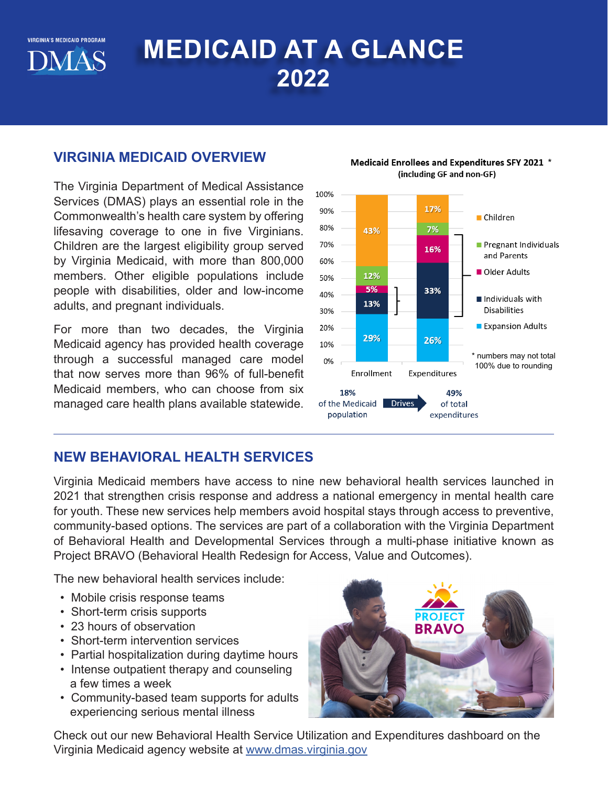**VIRGINIA'S MEDICAID PROGRAM DMAS** 

# **MEDICAID AT A GLANCE 2022**

#### **VIRGINIA MEDICAID OVERVIEW**

The Virginia Department of Medical Assistance Services (DMAS) plays an essential role in the Commonwealth's health care system by offering lifesaving coverage to one in five Virginians. Children are the largest eligibility group served by Virginia Medicaid, with more than 800,000 members. Other eligible populations include people with disabilities, older and low-income adults, and pregnant individuals.

For more than two decades, the Virginia Medicaid agency has provided health coverage through a successful managed care model that now serves more than 96% of full-benefit Medicaid members, who can choose from six managed care health plans available statewide.



#### Medicaid Enrollees and Expenditures SFY 2021 \* (including GF and non-GF)

## **NEW BEHAVIORAL HEALTH SERVICES**

Virginia Medicaid members have access to nine new behavioral health services launched in 2021 that strengthen crisis response and address a national emergency in mental health care for youth. These new services help members avoid hospital stays through access to preventive, community-based options. The services are part of a collaboration with the Virginia Department of Behavioral Health and Developmental Services through a multi-phase initiative known as Project BRAVO (Behavioral Health Redesign for Access, Value and Outcomes).

The new behavioral health services include:

- Mobile crisis response teams
- Short-term crisis supports
- 23 hours of observation
- Short-term intervention services
- Partial hospitalization during daytime hours
- Intense outpatient therapy and counseling a few times a week
- Community-based team supports for adults experiencing serious mental illness



Check out our new Behavioral Health Service Utilization and Expenditures dashboard on the Virginia Medicaid agency website at [www.dmas.virginia.gov](http://www.dmas.virginia.gov)